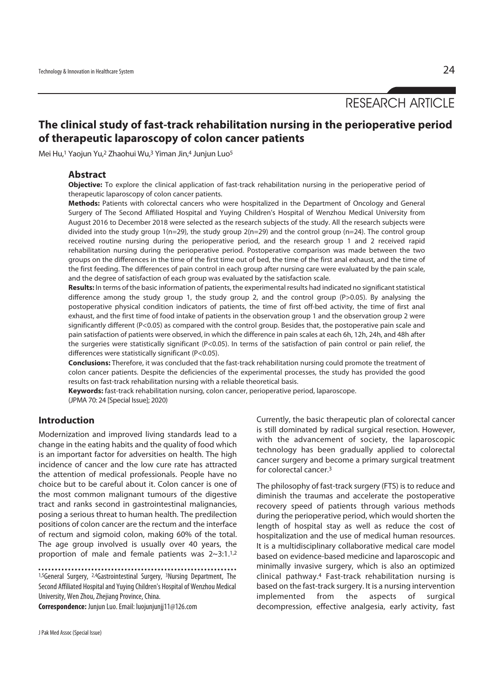RESEARCH ARTICLE

# **The clinical study of fast-track rehabilitation nursing in the perioperative period of therapeutic laparoscopy of colon cancer patients**

Mei Hu,1 Yaojun Yu,2 Zhaohui Wu,3 Yiman Jin,4 Junjun Luo5

### **Abstract**

**Objective:** To explore the clinical application of fast-track rehabilitation nursing in the perioperative period of therapeutic laparoscopy of colon cancer patients.

**Methods:** Patients with colorectal cancers who were hospitalized in the Department of Oncology and General Surgery of The Second Affiliated Hospital and Yuying Children's Hospital of Wenzhou Medical University from August 2016 to December 2018 were selected as the research subjects of the study. All the research subjects were divided into the study group 1(n=29), the study group 2(n=29) and the control group (n=24). The control group received routine nursing during the perioperative period, and the research group 1 and 2 received rapid rehabilitation nursing during the perioperative period. Postoperative comparison was made between the two groups on the differences in the time of the first time out of bed, the time of the first anal exhaust, and the time of the first feeding. The differences of pain control in each group after nursing care were evaluated by the pain scale, and the degree of satisfaction of each group was evaluated by the satisfaction scale.

**Results:** In terms of the basic information of patients, the experimental results had indicated no significant statistical difference among the study group 1, the study group 2, and the control group (P>0.05). By analysing the postoperative physical condition indicators of patients, the time of first off-bed activity, the time of first anal exhaust, and the first time of food intake of patients in the observation group 1 and the observation group 2 were significantly different (P<0.05) as compared with the control group. Besides that, the postoperative pain scale and pain satisfaction of patients were observed, in which the difference in pain scales at each 6h, 12h, 24h, and 48h after the surgeries were statistically significant (P<0.05). In terms of the satisfaction of pain control or pain relief, the differences were statistically significant (P<0.05).

**Conclusions:** Therefore, it was concluded that the fast-track rehabilitation nursing could promote the treatment of colon cancer patients. Despite the deficiencies of the experimental processes, the study has provided the good results on fast-track rehabilitation nursing with a reliable theoretical basis.

**Keywords:** fast-track rehabilitation nursing, colon cancer, perioperative period, laparoscope. (JPMA 70: 24 [Special Issue]; 2020)

# **Introduction**

Modernization and improved living standards lead to a change in the eating habits and the quality of food which is an important factor for adversities on health. The high incidence of cancer and the low cure rate has attracted the attention of medical professionals. People have no choice but to be careful about it. Colon cancer is one of the most common malignant tumours of the digestive tract and ranks second in gastrointestinal malignancies, posing a serious threat to human health. The predilection positions of colon cancer are the rectum and the interface of rectum and sigmoid colon, making 60% of the total. The age group involved is usually over 40 years, the proportion of male and female patients was 2~3:1.1,2

1,5General Surgery, 2,4Gastrointestinal Surgery, 3Nursing Department, The Second Affiliated Hospital and Yuying Children's Hospital of Wenzhou Medical University, Wen Zhou, Zhejiang Province, China.

**Correspondence:** Junjun Luo. Email: luojunjunjj11@126.com

Currently, the basic therapeutic plan of colorectal cancer is still dominated by radical surgical resection. However, with the advancement of society, the laparoscopic technology has been gradually applied to colorectal cancer surgery and become a primary surgical treatment for colorectal cancer.3

The philosophy of fast-track surgery (FTS) is to reduce and diminish the traumas and accelerate the postoperative recovery speed of patients through various methods during the perioperative period, which would shorten the length of hospital stay as well as reduce the cost of hospitalization and the use of medical human resources. It is a multidisciplinary collaborative medical care model based on evidence-based medicine and laparoscopic and minimally invasive surgery, which is also an optimized clinical pathway.4 Fast-track rehabilitation nursing is based on the fast-track surgery. It is a nursing intervention implemented from the aspects of surgical decompression, effective analgesia, early activity, fast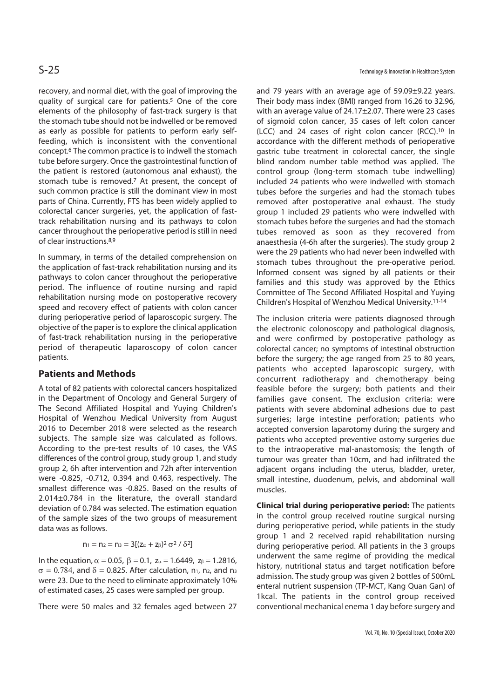recovery, and normal diet, with the goal of improving the quality of surgical care for patients.5 One of the core elements of the philosophy of fast-track surgery is that the stomach tube should not be indwelled or be removed as early as possible for patients to perform early selffeeding, which is inconsistent with the conventional concept.6 The common practice is to indwell the stomach tube before surgery. Once the gastrointestinal function of the patient is restored (autonomous anal exhaust), the stomach tube is removed.7 At present, the concept of such common practice is still the dominant view in most parts of China. Currently, FTS has been widely applied to colorectal cancer surgeries, yet, the application of fasttrack rehabilitation nursing and its pathways to colon cancer throughout the perioperative period is still in need of clear instructions.8,9

In summary, in terms of the detailed comprehension on the application of fast-track rehabilitation nursing and its pathways to colon cancer throughout the perioperative period. The influence of routine nursing and rapid rehabilitation nursing mode on postoperative recovery speed and recovery effect of patients with colon cancer during perioperative period of laparoscopic surgery. The objective of the paper is to explore the clinical application of fast-track rehabilitation nursing in the perioperative period of therapeutic laparoscopy of colon cancer patients.

# **Patients and Methods**

A total of 82 patients with colorectal cancers hospitalized in the Department of Oncology and General Surgery of The Second Affiliated Hospital and Yuying Children's Hospital of Wenzhou Medical University from August 2016 to December 2018 were selected as the research subjects. The sample size was calculated as follows. According to the pre-test results of 10 cases, the VAS differences of the control group, study group 1, and study group 2, 6h after intervention and 72h after intervention were -0.825, -0.712, 0.394 and 0.463, respectively. The smallest difference was -0.825. Based on the results of 2.014±0.784 in the literature, the overall standard deviation of 0.784 was selected. The estimation equation of the sample sizes of the two groups of measurement data was as follows.

$$
n_1 = n_2 = n_3 = 3[(z_\alpha + z_\beta)^2 \sigma^2 / \delta^2]
$$

In the equation,  $\alpha = 0.05$ ,  $\beta = 0.1$ ,  $z_{\alpha} = 1.6449$ ,  $z_{\beta} = 1.2816$ ,  $\sigma = 0.784$ , and  $\delta = 0.825$ . After calculation, n<sub>1</sub>, n<sub>2</sub>, and n<sub>3</sub> were 23. Due to the need to eliminate approximately 10% of estimated cases, 25 cases were sampled per group.

There were 50 males and 32 females aged between 27

S-25 Technology & Innovation in Healthcare System

and 79 years with an average age of 59.09±9.22 years. Their body mass index (BMI) ranged from 16.26 to 32.96, with an average value of 24.17±2.07. There were 23 cases of sigmoid colon cancer, 35 cases of left colon cancer (LCC) and 24 cases of right colon cancer (RCC).10 In accordance with the different methods of perioperative gastric tube treatment in colorectal cancer, the single blind random number table method was applied. The control group (long-term stomach tube indwelling) included 24 patients who were indwelled with stomach tubes before the surgeries and had the stomach tubes removed after postoperative anal exhaust. The study group 1 included 29 patients who were indwelled with stomach tubes before the surgeries and had the stomach tubes removed as soon as they recovered from anaesthesia (4-6h after the surgeries). The study group 2 were the 29 patients who had never been indwelled with stomach tubes throughout the pre-operative period. Informed consent was signed by all patients or their families and this study was approved by the Ethics Committee of The Second Affiliated Hospital and Yuying Children's Hospital of Wenzhou Medical University.11-14

The inclusion criteria were patients diagnosed through the electronic colonoscopy and pathological diagnosis, and were confirmed by postoperative pathology as colorectal cancer; no symptoms of intestinal obstruction before the surgery; the age ranged from 25 to 80 years, patients who accepted laparoscopic surgery, with concurrent radiotherapy and chemotherapy being feasible before the surgery; both patients and their families gave consent. The exclusion criteria: were patients with severe abdominal adhesions due to past surgeries; large intestine perforation; patients who accepted conversion laparotomy during the surgery and patients who accepted preventive ostomy surgeries due to the intraoperative mal-anastomosis; the length of tumour was greater than 10cm, and had infiltrated the adjacent organs including the uterus, bladder, ureter, small intestine, duodenum, pelvis, and abdominal wall muscles.

**Clinical trial during perioperative period:** The patients in the control group received routine surgical nursing during perioperative period, while patients in the study group 1 and 2 received rapid rehabilitation nursing during perioperative period. All patients in the 3 groups underwent the same regime of providing the medical history, nutritional status and target notification before admission. The study group was given 2 bottles of 500mL enteral nutrient suspension (TP-MCT, Kang Quan Gan) of 1kcal. The patients in the control group received conventional mechanical enema 1 day before surgery and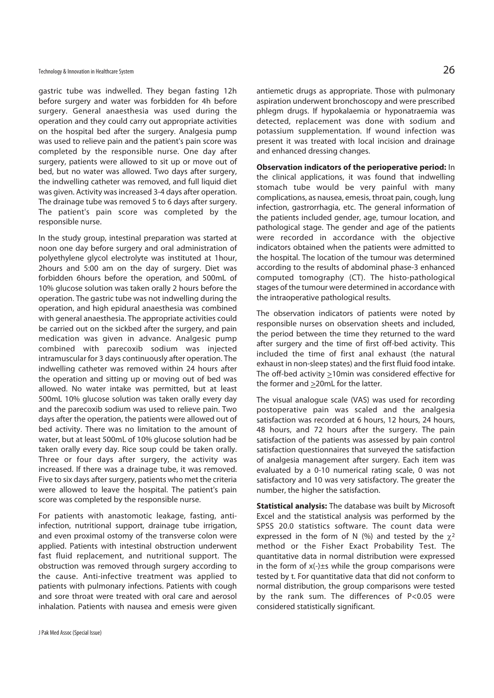gastric tube was indwelled. They began fasting 12h before surgery and water was forbidden for 4h before surgery. General anaesthesia was used during the operation and they could carry out appropriate activities on the hospital bed after the surgery. Analgesia pump was used to relieve pain and the patient's pain score was completed by the responsible nurse. One day after surgery, patients were allowed to sit up or move out of bed, but no water was allowed. Two days after surgery, the indwelling catheter was removed, and full liquid diet was given. Activity was increased 3-4 days after operation. The drainage tube was removed 5 to 6 days after surgery. The patient's pain score was completed by the responsible nurse.

In the study group, intestinal preparation was started at noon one day before surgery and oral administration of polyethylene glycol electrolyte was instituted at 1hour, 2hours and 5:00 am on the day of surgery. Diet was forbidden 6hours before the operation, and 500mL of 10% glucose solution was taken orally 2 hours before the operation. The gastric tube was not indwelling during the operation, and high epidural anaesthesia was combined with general anaesthesia. The appropriate activities could be carried out on the sickbed after the surgery, and pain medication was given in advance. Analgesic pump combined with parecoxib sodium was injected intramuscular for 3 days continuously after operation. The indwelling catheter was removed within 24 hours after the operation and sitting up or moving out of bed was allowed. No water intake was permitted, but at least 500mL 10% glucose solution was taken orally every day and the parecoxib sodium was used to relieve pain. Two days after the operation, the patients were allowed out of bed activity. There was no limitation to the amount of water, but at least 500mL of 10% glucose solution had be taken orally every day. Rice soup could be taken orally. Three or four days after surgery, the activity was increased. If there was a drainage tube, it was removed. Five to six days after surgery, patients who met the criteria were allowed to leave the hospital. The patient's pain score was completed by the responsible nurse.

For patients with anastomotic leakage, fasting, antiinfection, nutritional support, drainage tube irrigation, and even proximal ostomy of the transverse colon were applied. Patients with intestinal obstruction underwent fast fluid replacement, and nutritional support. The obstruction was removed through surgery according to the cause. Anti-infective treatment was applied to patients with pulmonary infections. Patients with cough and sore throat were treated with oral care and aerosol inhalation. Patients with nausea and emesis were given

antiemetic drugs as appropriate. Those with pulmonary aspiration underwent bronchoscopy and were prescribed phlegm drugs. If hypokalaemia or hyponatraemia was detected, replacement was done with sodium and potassium supplementation. If wound infection was present it was treated with local incision and drainage and enhanced dressing changes.

**Observation indicators of the perioperative period:** In the clinical applications, it was found that indwelling stomach tube would be very painful with many complications, as nausea, emesis, throat pain, cough, lung infection, gastrorrhagia, etc. The general information of the patients included gender, age, tumour location, and pathological stage. The gender and age of the patients were recorded in accordance with the objective indicators obtained when the patients were admitted to the hospital. The location of the tumour was determined according to the results of abdominal phase-3 enhanced computed tomography (CT). The histo-pathological stages of the tumour were determined in accordance with the intraoperative pathological results.

The observation indicators of patients were noted by responsible nurses on observation sheets and included, the period between the time they returned to the ward after surgery and the time of first off-bed activity. This included the time of first anal exhaust (the natural exhaust in non-sleep states) and the first fluid food intake. The off-bed activity  $\geq 10$ min was considered effective for the former and >20mL for the latter.

The visual analogue scale (VAS) was used for recording postoperative pain was scaled and the analgesia satisfaction was recorded at 6 hours, 12 hours, 24 hours, 48 hours, and 72 hours after the surgery. The pain satisfaction of the patients was assessed by pain control satisfaction questionnaires that surveyed the satisfaction of analgesia management after surgery. Each item was evaluated by a 0-10 numerical rating scale, 0 was not satisfactory and 10 was very satisfactory. The greater the number, the higher the satisfaction.

**Statistical analysis:** The database was built by Microsoft Excel and the statistical analysis was performed by the SPSS 20.0 statistics software. The count data were expressed in the form of N (%) and tested by the  $\chi^2$ method or the Fisher Exact Probability Test. The quantitative data in normal distribution were expressed in the form of x(-)±s while the group comparisons were tested by t. For quantitative data that did not conform to normal distribution, the group comparisons were tested by the rank sum. The differences of P<0.05 were considered statistically significant.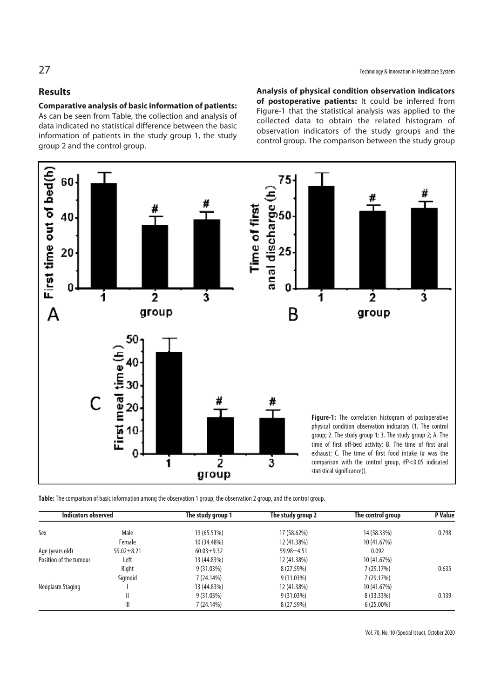# **Results**

60

40

### **Comparative analysis of basic information of patients:**

As can be seen from Table, the collection and analysis of data indicated no statistical difference between the basic information of patients in the study group 1, the study group 2 and the control group.

**Analysis of physical condition observation indicators of postoperative patients:** It could be inferred from Figure-1 that the statistical analysis was applied to the collected data to obtain the related histogram of observation indicators of the study groups and the control group. The comparison between the study group



First time out of bed(h) 20 ŋ  $\frac{1}{2}$ ż  $\mathbf{\dot{3}}$ ł ł. A group group B 50 First meal time (h) 40 30 # 20 10 0  $\mathbf i$ ż ż statistical significance)). group

**Figure-1:** The correlation histogram of postoperative physical condition observation indicators (1. The control group; 2. The study group 1; 3. The study group 2; A. The time of first off-bed activity; B. The time of first anal exhaust; C. The time of first food intake (# was the comparison with the control group, #P<0.05 indicated

**Table:** The comparison of basic information among the observation 1 group, the observation 2 group, and the control group.

| <b>Indicators observed</b> |                  | The study group 1 | The study group 2 | The control group | <b>P</b> Value |
|----------------------------|------------------|-------------------|-------------------|-------------------|----------------|
| Sex                        | Male             | 19 (65.51%)       | 17 (58.62%)       | 14 (58.33%)       | 0.798          |
|                            | Female           | 10 (34.48%)       | 12 (41.38%)       | 10 (41.67%)       |                |
| Age (years old)            | $59.02 \pm 8.21$ | $60.03 \pm 9.32$  | 59.98±4.51        | 0.092             |                |
| Position of the tumour     | Left             | 13 (44.83%)       | 12 (41.38%)       | 10 (41.67%)       |                |
|                            | Right            | 9(31.03%)         | 8 (27.59%)        | 7 (29.17%)        | 0.635          |
|                            | Sigmoid          | 7(24.14%)         | 9(31.03%)         | 7(29.17%)         |                |
| Neoplasm Staging           |                  | 13 (44.83%)       | 12 (41.38%)       | 10 (41.67%)       |                |
|                            | Ш                | 9(31.03%)         | 9(31.03%)         | 8 (33.33%)        | 0.139          |
|                            | Ш                | 7 (24.14%)        | 8 (27.59%)        | $6(25.00\%)$      |                |

# 27 Technology & Innovation in Healthcare System

#

ś

Vol. 70, No. 10 (Special Issue), October 2020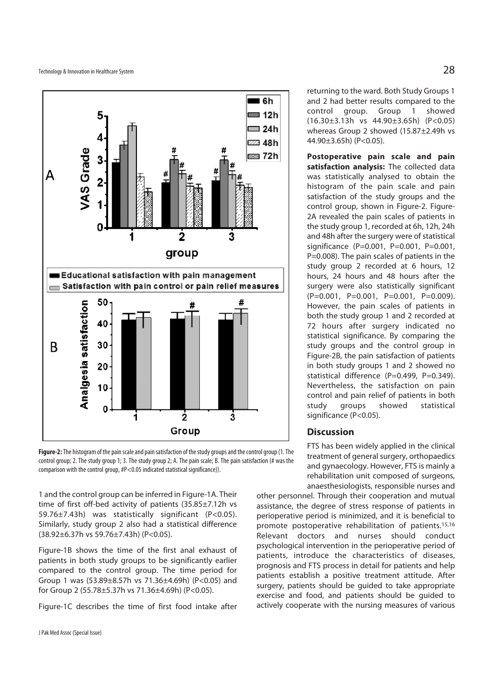

**Figure-2:** The histogram of the pain scale and pain satisfaction of the study groups and the control group (1. The control group; 2. The study group 1; 3. The study group 2; A. The pain scale; B. The pain satisfaction (# was the comparison with the control group, #P<0.05 indicated statistical significance)).

1 and the control group can be inferred in Figure-1A. Their time of first off-bed activity of patients (35.85±7.12h vs 59.76±7.43h) was statistically significant (P<0.05). Similarly, study group 2 also had a statistical difference (38.92±6.37h vs 59.76±7.43h) (P<0.05).

Figure-1B shows the time of the first anal exhaust of patients in both study groups to be significantly earlier compared to the control group. The time period for Group 1 was (53.89±8.57h vs 71.36±4.69h) (P<0.05) and for Group 2 (55.78±5.37h vs 71.36±4.69h) (P<0.05).

Figure-1C describes the time of first food intake after

returning to the ward. Both Study Groups 1 and 2 had better results compared to the control group. Group 1 showed (16.30±3.13h vs 44.90±3.65h) (P<0.05) whereas Group 2 showed (15.87±2.49h vs 44.90±3.65h) (P<0.05).

**Postoperative pain scale and pain satisfaction analysis:** The collected data was statistically analysed to obtain the histogram of the pain scale and pain satisfaction of the study groups and the control group, shown in Figure-2. Figure-2A revealed the pain scales of patients in the study group 1, recorded at 6h, 12h, 24h and 48h after the surgery were of statistical significance (P=0.001, P=0.001, P=0.001, P=0.008). The pain scales of patients in the study group 2 recorded at 6 hours, 12 hours, 24 hours and 48 hours after the surgery were also statistically significant (P=0.001, P=0.001, P=0.001, P=0.009). However, the pain scales of patients in both the study group 1 and 2 recorded at 72 hours after surgery indicated no statistical significance. By comparing the study groups and the control group in Figure-2B, the pain satisfaction of patients in both study groups 1 and 2 showed no statistical difference (P=0.499, P=0.349). Nevertheless, the satisfaction on pain control and pain relief of patients in both study groups showed statistical significance (P<0.05).

# **Discussion**

FTS has been widely applied in the clinical treatment of general surgery, orthopaedics and gynaecology. However, FTS is mainly a rehabilitation unit composed of surgeons, anaesthesiologists, responsible nurses and

other personnel. Through their cooperation and mutual assistance, the degree of stress response of patients in perioperative period is minimized, and it is beneficial to promote postoperative rehabilitation of patients.15,16 Relevant doctors and nurses should conduct psychological intervention in the perioperative period of patients, introduce the characteristics of diseases, prognosis and FTS process in detail for patients and help patients establish a positive treatment attitude. After surgery, patients should be guided to take appropriate exercise and food, and patients should be guided to actively cooperate with the nursing measures of various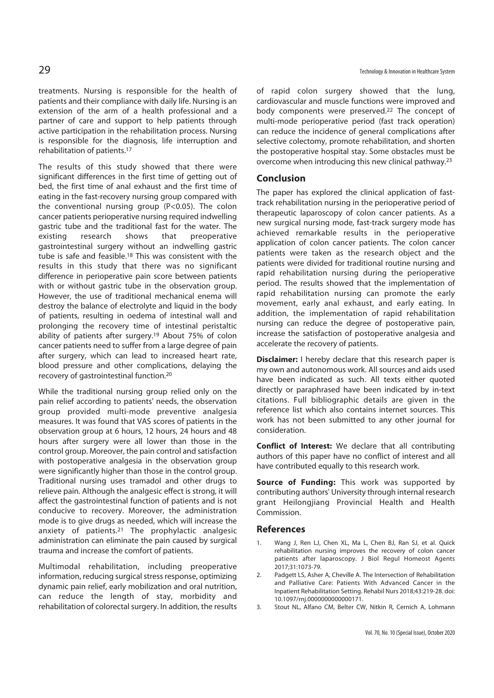treatments. Nursing is responsible for the health of patients and their compliance with daily life. Nursing is an extension of the arm of a health professional and a partner of care and support to help patients through active participation in the rehabilitation process. Nursing is responsible for the diagnosis, life interruption and rehabilitation of patients.17

The results of this study showed that there were significant differences in the first time of getting out of bed, the first time of anal exhaust and the first time of eating in the fast-recovery nursing group compared with the conventional nursing group (P<0.05). The colon cancer patients perioperative nursing required indwelling gastric tube and the traditional fast for the water. The existing research shows that preoperative gastrointestinal surgery without an indwelling gastric tube is safe and feasible.18 This was consistent with the results in this study that there was no significant difference in perioperative pain score between patients with or without gastric tube in the observation group. However, the use of traditional mechanical enema will destroy the balance of electrolyte and liquid in the body of patients, resulting in oedema of intestinal wall and prolonging the recovery time of intestinal peristaltic ability of patients after surgery.19 About 75% of colon cancer patients need to suffer from a large degree of pain after surgery, which can lead to increased heart rate, blood pressure and other complications, delaying the recovery of gastrointestinal function.20

While the traditional nursing group relied only on the pain relief according to patients' needs, the observation group provided multi-mode preventive analgesia measures. It was found that VAS scores of patients in the observation group at 6 hours, 12 hours, 24 hours and 48 hours after surgery were all lower than those in the control group. Moreover, the pain control and satisfaction with postoperative analgesia in the observation group were significantly higher than those in the control group. Traditional nursing uses tramadol and other drugs to relieve pain. Although the analgesic effect is strong, it will affect the gastrointestinal function of patients and is not conducive to recovery. Moreover, the administration mode is to give drugs as needed, which will increase the anxiety of patients.21 The prophylactic analgesic administration can eliminate the pain caused by surgical trauma and increase the comfort of patients.

Multimodal rehabilitation, including preoperative information, reducing surgical stress response, optimizing dynamic pain relief, early mobilization and oral nutrition, can reduce the length of stay, morbidity and rehabilitation of colorectal surgery. In addition, the results of rapid colon surgery showed that the lung, cardiovascular and muscle functions were improved and body components were preserved.<sup>22</sup> The concept of multi-mode perioperative period (fast track operation) can reduce the incidence of general complications after selective colectomy, promote rehabilitation, and shorten the postoperative hospital stay. Some obstacles must be overcome when introducing this new clinical pathway.23

#### **Conclusion**

The paper has explored the clinical application of fasttrack rehabilitation nursing in the perioperative period of therapeutic laparoscopy of colon cancer patients. As a new surgical nursing mode, fast-track surgery mode has achieved remarkable results in the perioperative application of colon cancer patients. The colon cancer patients were taken as the research object and the patients were divided for traditional routine nursing and rapid rehabilitation nursing during the perioperative period. The results showed that the implementation of rapid rehabilitation nursing can promote the early movement, early anal exhaust, and early eating. In addition, the implementation of rapid rehabilitation nursing can reduce the degree of postoperative pain, increase the satisfaction of postoperative analgesia and accelerate the recovery of patients.

**Disclaimer:** I hereby declare that this research paper is my own and autonomous work. All sources and aids used have been indicated as such. All texts either quoted directly or paraphrased have been indicated by in-text citations. Full bibliographic details are given in the reference list which also contains internet sources. This work has not been submitted to any other journal for consideration.

**Conflict of Interest:** We declare that all contributing authors of this paper have no conflict of interest and all have contributed equally to this research work.

**Source of Funding:** This work was supported by contributing authors' University through internal research grant Heilongjiang Provincial Health and Health Commission.

#### **References**

- 1. Wang J, Ren LJ, Chen XL, Ma L, Chen BJ, Ran SJ, et al. Quick rehabilitation nursing improves the recovery of colon cancer patients after laparoscopy. J Biol Regul Homeost Agents 2017;31:1073-79.
- 2. Padgett LS, Asher A, Cheville A. The Intersection of Rehabilitation and Palliative Care: Patients With Advanced Cancer in the Inpatient Rehabilitation Setting. Rehabil Nurs 2018;43:219-28. doi: 10.1097/rnj.0000000000000171.
- 3. Stout NL, Alfano CM, Belter CW, Nitkin R, Cernich A, Lohmann